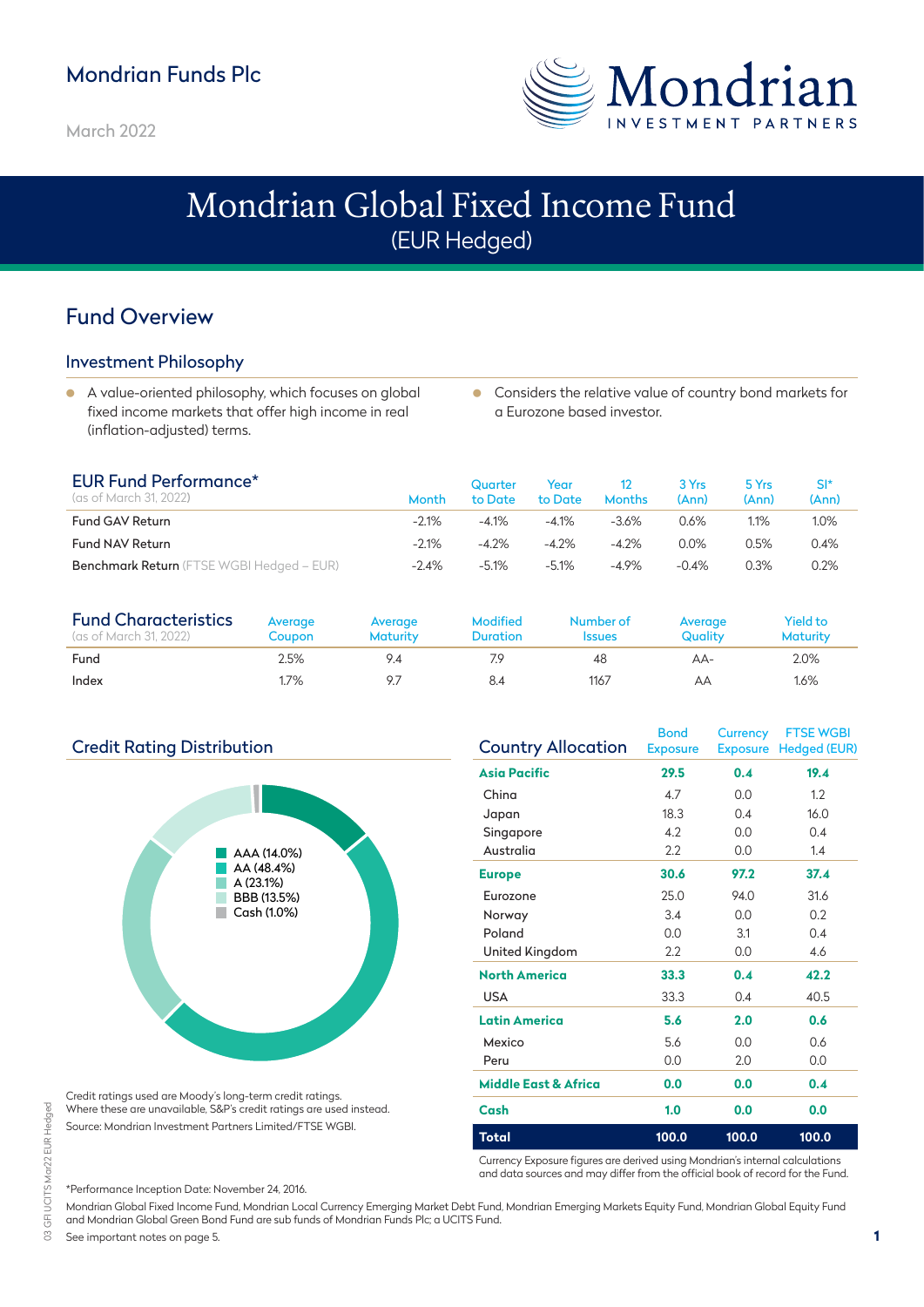# Mondrian Funds Plc

March 2022



# Mondrian Global Fixed Income Fund (EUR Hedged)

# Fund Overview

### Investment Philosophy

- A value-oriented philosophy, which focuses on global fixed income markets that offer high income in real (inflation-adjusted) terms.
- **Considers the relative value of country bond markets for** a Eurozone based investor.

| <b>EUR Fund Performance*</b><br>(as of March 31, 2022) | Month   | Quarter<br>to Date | Year<br>to Date | <b>Months</b> | 3 Yrs<br>(Ann) | 5 Yrs<br>(Ann) | SI*<br>(Ann) |
|--------------------------------------------------------|---------|--------------------|-----------------|---------------|----------------|----------------|--------------|
| <b>Fund GAV Return</b>                                 | $-2.1%$ | $-4.1%$            | $-4.1%$         | $-3.6%$       | 0.6%           | 1.1%           | $1.0\%$      |
| <b>Fund NAV Return</b>                                 | $-2.1%$ | $-4.2%$            | $-4.2%$         | $-4.2%$       | $0.0\%$        | $0.5\%$        | 0.4%         |
| <b>Benchmark Return</b> (FTSE WGBI Hedged – EUR)       | $-2.4%$ | $-5.1%$            | $-5.1%$         | $-4.9%$       | $-0.4%$        | 0.3%           | 0.2%         |

| <b>Fund Characteristics</b><br>(as of March 31, 2022) | Avergge<br>Coupon | Avergge<br><b>Maturity</b> | <b>Modified</b><br><b>Duration</b> | Number of<br><b>Issues</b> | Average<br>Quality | Yield to<br><b>Maturity</b> |
|-------------------------------------------------------|-------------------|----------------------------|------------------------------------|----------------------------|--------------------|-----------------------------|
| Fund                                                  | 2.5%              | 94                         | 7.9                                | 48                         | AA-                | 2.0%                        |
| Index                                                 | 1.7%              |                            | 8.4                                | 1167                       | AΑ                 | $1.6\%$                     |

### Credit Rating Distribution



Credit ratings used are Moody's long-term credit ratings. Where these are unavailable, S&P's credit ratings are used instead. Source: Mondrian Investment Partners Limited/FTSE WGBI.

| <b>Country Allocation</b> | <b>Bond</b><br><b>Exposure</b> | <b>Currency</b> | <b>FTSE WGBI</b><br>Exposure Hedged (EUR) |
|---------------------------|--------------------------------|-----------------|-------------------------------------------|
| <b>Asia Pacific</b>       | 29.5                           | 0.4             | 19.4                                      |
| China                     | 4.7                            | 0.0             | 1.2                                       |
| Japan                     | 18.3                           | 0.4             | 16.0                                      |
| Singapore                 | 4.2                            | 0.0             | 0.4                                       |
| Australia                 | 2.2                            | 0.0             | 1.4                                       |
| <b>Europe</b>             | 30.6                           | 97.2            | 37.4                                      |
| Eurozone                  | 25.0                           | 94.0            | 31.6                                      |
| Norway                    | 3.4                            | 0.0             | 0.2                                       |
| Poland                    | 0.0                            | 3.1             | 0.4                                       |
| United Kingdom            | 2.2                            | 0.0             | 4.6                                       |
| <b>North America</b>      | 33.3                           | 0.4             | 42.2                                      |
| <b>USA</b>                | 33.3                           | 0.4             | 40.5                                      |
| Latin America             | 5.6                            | 2.0             | 0.6                                       |
| Mexico                    | 5.6                            | 0.0             | 0.6                                       |
| Peru                      | 0.0                            | 2.0             | 0.0                                       |
| Middle East & Africa      | 0.0                            | 0.0             | 0.4                                       |
| Cash                      | 1.0                            | 0.0             | 0.0                                       |
| Total                     | 100.0                          | 100.0           | 100.0                                     |

Currency Exposure figures are derived using Mondrian's internal calculations and data sources and may differ from the official book of record for the Fund.

\*Performance Inception Date: November 24, 2016. Mondrian Global Fixed Income Fund, Mondrian Local Currency Emerging Market Debt Fund, Mondrian Emerging Markets Equity Fund, Mondrian Global Equity Fund and Mondrian Global Green Bond Fund are sub funds of Mondrian Funds Plc; a UCITS Fund.

See important notes on page 5.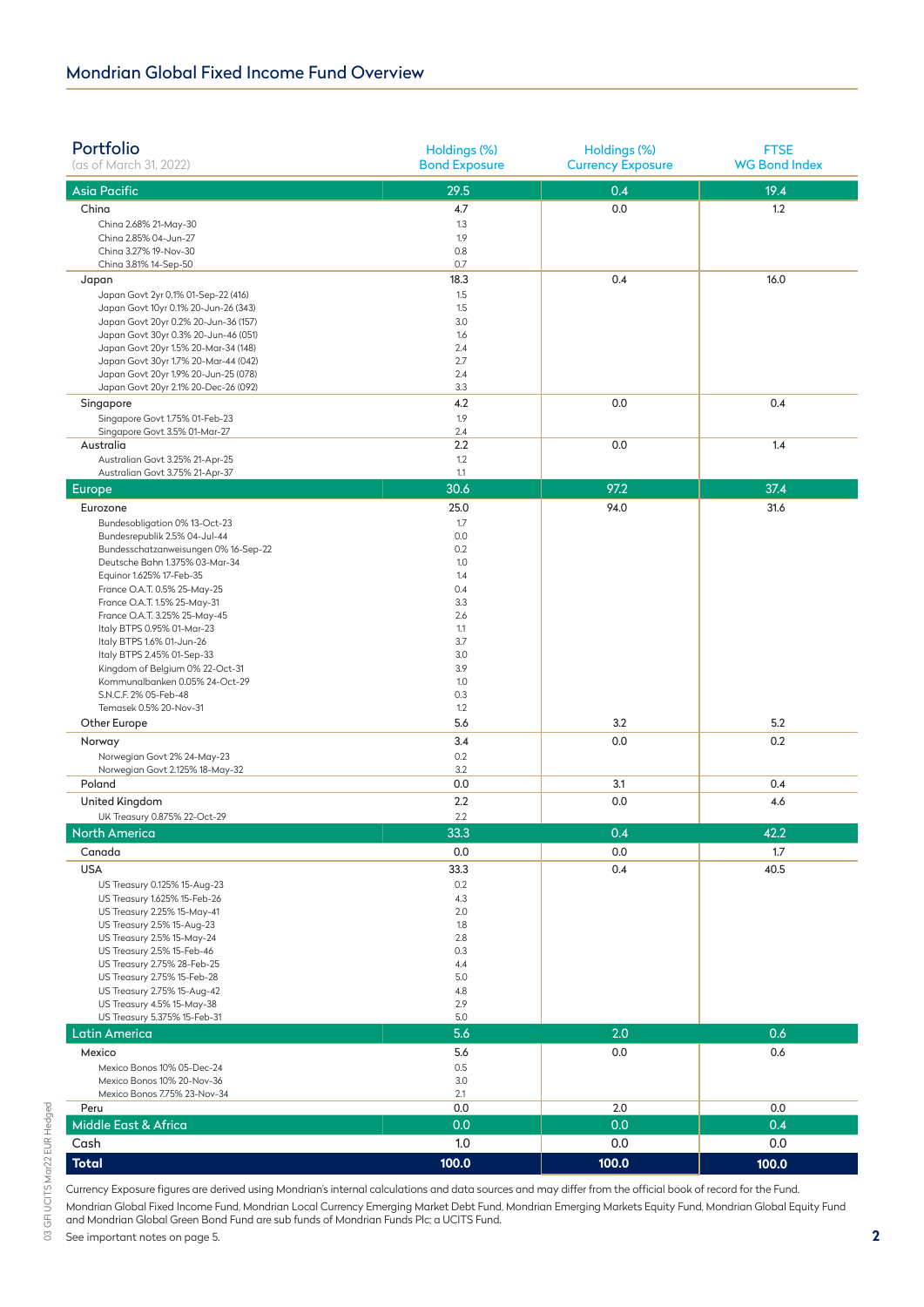| Portfolio<br>(as of March 31, 2022)                                          | Holdings (%)<br><b>Bond Exposure</b> | Holdings (%)<br><b>Currency Exposure</b> | <b>FTSE</b><br><b>WG Bond Index</b> |
|------------------------------------------------------------------------------|--------------------------------------|------------------------------------------|-------------------------------------|
| <b>Asia Pacific</b>                                                          | 29.5                                 | 0.4                                      | 19.4                                |
| China                                                                        | 4.7                                  | 0.0                                      | 1.2                                 |
| China 2.68% 21-May-30                                                        | 1.3                                  |                                          |                                     |
| China 2.85% 04-Jun-27                                                        | 1.9                                  |                                          |                                     |
| China 3.27% 19-Nov-30<br>China 3.81% 14-Sep-50                               | 0.8<br>0.7                           |                                          |                                     |
| Japan                                                                        | 18.3                                 | 0.4                                      | 16.0                                |
| Japan Govt 2yr 0.1% 01-Sep-22 (416)                                          | 1.5                                  |                                          |                                     |
| Japan Govt 10yr 0.1% 20-Jun-26 (343)                                         | 1.5                                  |                                          |                                     |
| Japan Govt 20yr 0.2% 20-Jun-36 (157)                                         | 3.0                                  |                                          |                                     |
| Japan Govt 30yr 0.3% 20-Jun-46 (051)                                         | 1.6                                  |                                          |                                     |
| Japan Govt 20yr 1.5% 20-Mar-34 (148)<br>Japan Govt 30yr 1.7% 20-Mar-44 (042) | 2.4<br>2.7                           |                                          |                                     |
| Japan Govt 20yr 1.9% 20-Jun-25 (078)                                         | 2.4                                  |                                          |                                     |
| Japan Govt 20yr 2.1% 20-Dec-26 (092)                                         | 3.3                                  |                                          |                                     |
| Singapore                                                                    | 4.2                                  | 0.0                                      | 0.4                                 |
| Singapore Govt 1.75% 01-Feb-23                                               | 1.9                                  |                                          |                                     |
| Singapore Govt 3.5% 01-Mar-27<br>Australia                                   | 2.4<br>2.2                           | 0.0                                      | 1.4                                 |
| Australian Govt 3.25% 21-Apr-25                                              | 1.2                                  |                                          |                                     |
| Australian Govt 3.75% 21-Apr-37                                              | 1.1                                  |                                          |                                     |
| Europe                                                                       | 30.6                                 | 97.2                                     | 37.4                                |
| Eurozone                                                                     | 25.0                                 | 94.0                                     | 31.6                                |
| Bundesobligation 0% 13-Oct-23                                                | 1.7                                  |                                          |                                     |
| Bundesrepublik 2.5% 04-Jul-44                                                | 0.0                                  |                                          |                                     |
| Bundesschatzanweisungen 0% 16-Sep-22                                         | 0.2                                  |                                          |                                     |
| Deutsche Bahn 1.375% 03-Mar-34<br>Equinor 1.625% 17-Feb-35                   | 1.0<br>1.4                           |                                          |                                     |
| France O.A.T. 0.5% 25-May-25                                                 | 0.4                                  |                                          |                                     |
| France O.A.T. 1.5% 25-May-31                                                 | 3.3                                  |                                          |                                     |
| France O.A.T. 3.25% 25-May-45                                                | 2.6                                  |                                          |                                     |
| Italy BTPS 0.95% 01-Mar-23                                                   | 1.1                                  |                                          |                                     |
| Italy BTPS 1.6% 01-Jun-26<br>Italy BTPS 2.45% 01-Sep-33                      | 3.7<br>3.0                           |                                          |                                     |
| Kingdom of Belgium 0% 22-Oct-31                                              | 3.9                                  |                                          |                                     |
| Kommunalbanken 0.05% 24-Oct-29                                               | 1.0                                  |                                          |                                     |
| S.N.C.F. 2% 05-Feb-48                                                        | 0.3                                  |                                          |                                     |
| Temasek 0.5% 20-Nov-31                                                       | 1.2<br>5.6                           | 3.2                                      | 5.2                                 |
| Other Europe                                                                 | 3.4                                  |                                          | 0.2                                 |
| Norway<br>Norwegian Govt 2% 24-May-23                                        | 0.2                                  | 0.0                                      |                                     |
| Norwegian Govt 2.125% 18-May-32                                              | 3.2                                  |                                          |                                     |
| Poland                                                                       | 0.0                                  | 3.1                                      | 0.4                                 |
| United Kingdom                                                               | 2.2                                  | 0.0                                      | 4.6                                 |
| UK Treasury 0.875% 22-Oct-29                                                 | 2.2                                  |                                          |                                     |
| <b>North America</b>                                                         | 33.3                                 | 0.4                                      | 42.2                                |
| Canada                                                                       | 0.0                                  | 0.0                                      | 1.7                                 |
| <b>USA</b>                                                                   | 33.3                                 | 0.4                                      | 40.5                                |
| US Treasury 0.125% 15-Aug-23                                                 | 0.2                                  |                                          |                                     |
| US Treasury 1.625% 15-Feb-26                                                 | 4.3                                  |                                          |                                     |
| US Treasury 2.25% 15-May-41                                                  | 2.0                                  |                                          |                                     |
| US Treasury 2.5% 15-Aug-23<br>US Treasury 2.5% 15-May-24                     | 1.8<br>2.8                           |                                          |                                     |
| US Treasury 2.5% 15-Feb-46                                                   | 0.3                                  |                                          |                                     |
| US Treasury 2.75% 28-Feb-25                                                  | 4.4                                  |                                          |                                     |
| US Treasury 2.75% 15-Feb-28                                                  | 5.0                                  |                                          |                                     |
| US Treasury 2.75% 15-Aug-42<br>US Treasury 4.5% 15-May-38                    | 4.8<br>2.9                           |                                          |                                     |
| US Treasury 5.375% 15-Feb-31                                                 | 5.0                                  |                                          |                                     |
| Latin America                                                                | 5.6                                  | 2.0                                      | 0.6                                 |
| Mexico                                                                       | 5.6                                  | 0.0                                      | 0.6                                 |
| Mexico Bonos 10% 05-Dec-24                                                   | 0.5                                  |                                          |                                     |
| Mexico Bonos 10% 20-Nov-36                                                   | 3.0                                  |                                          |                                     |
| Mexico Bonos 7.75% 23-Nov-34                                                 | 2.1                                  |                                          |                                     |
| Peru                                                                         | 0.0                                  | 2.0                                      | 0.0                                 |
| Middle East & Africa                                                         | 0.0                                  | 0.0                                      | 0.4                                 |
| Cash                                                                         | 1.0                                  | 0.0                                      | 0.0                                 |
| <b>Total</b>                                                                 | 100.0                                | 100.0                                    | 100.0                               |

Currency Exposure figures are derived using Mondrian's internal calculations and data sources and may differ from the official book of record for the Fund. Mondrian Global Fixed Income Fund, Mondrian Local Currency Emerging Market Debt Fund, Mondrian Emerging Markets Equity Fund, Mondrian Global Equity Fund and Mondrian Global Green Bond Fund are sub funds of Mondrian Funds Plc; a UCITS Fund.

See important notes on page 5.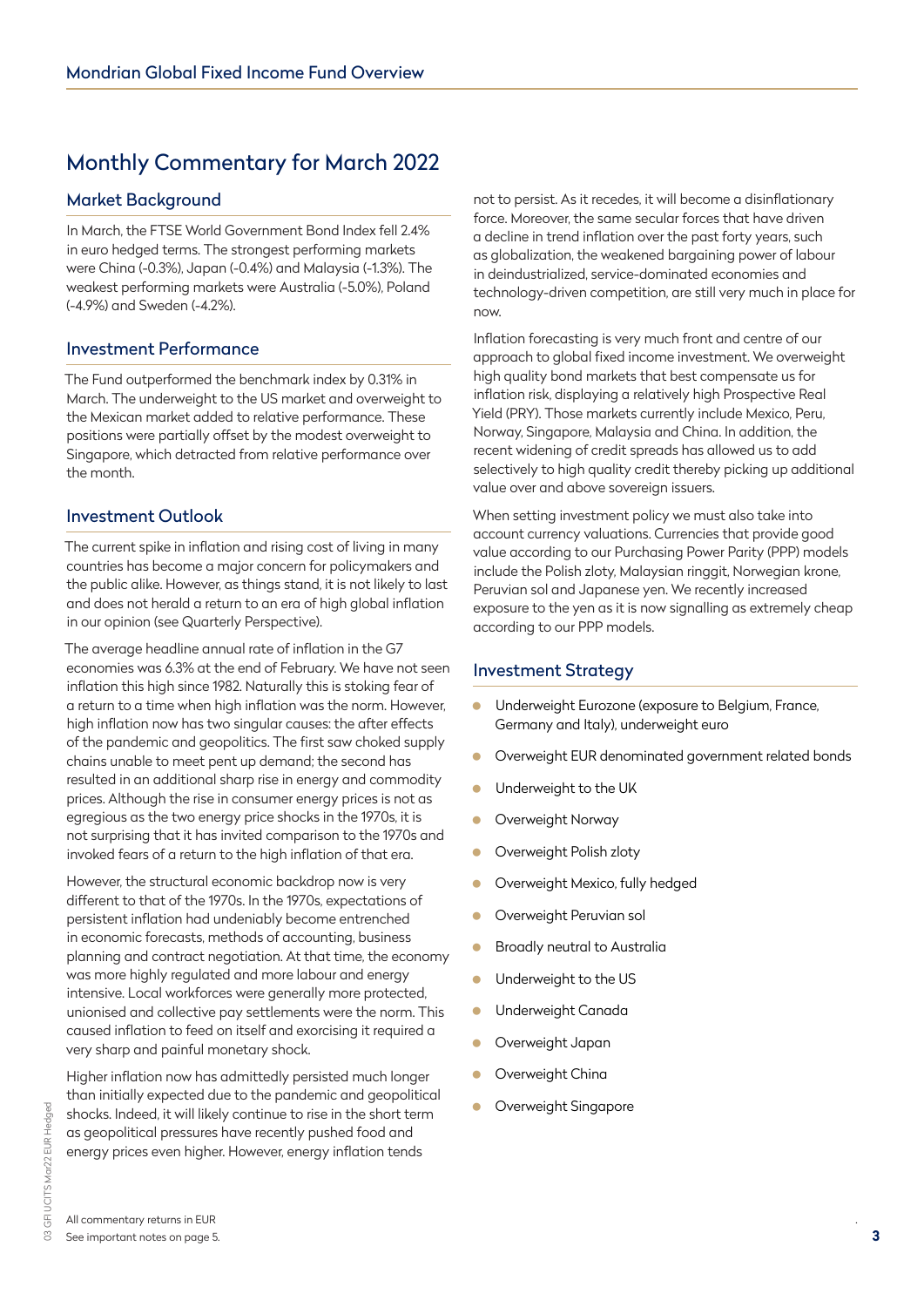# Monthly Commentary for March 2022

### Market Background

In March, the FTSE World Government Bond Index fell 2.4% in euro hedged terms. The strongest performing markets were China (-0.3%), Japan (-0.4%) and Malaysia (-1.3%). The weakest performing markets were Australia (-5.0%), Poland (-4.9%) and Sweden (-4.2%).

### Investment Performance

The Fund outperformed the benchmark index by 0.31% in March. The underweight to the US market and overweight to the Mexican market added to relative performance. These positions were partially offset by the modest overweight to Singapore, which detracted from relative performance over the month.

### Investment Outlook

The current spike in inflation and rising cost of living in many countries has become a major concern for policymakers and the public alike. However, as things stand, it is not likely to last and does not herald a return to an era of high global inflation in our opinion (see Quarterly Perspective).

The average headline annual rate of inflation in the G7 economies was 6.3% at the end of February. We have not seen inflation this high since 1982. Naturally this is stoking fear of a return to a time when high inflation was the norm. However, high inflation now has two singular causes: the after effects of the pandemic and geopolitics. The first saw choked supply chains unable to meet pent up demand; the second has resulted in an additional sharp rise in energy and commodity prices. Although the rise in consumer energy prices is not as egregious as the two energy price shocks in the 1970s, it is not surprising that it has invited comparison to the 1970s and invoked fears of a return to the high inflation of that era.

However, the structural economic backdrop now is very different to that of the 1970s. In the 1970s, expectations of persistent inflation had undeniably become entrenched in economic forecasts, methods of accounting, business planning and contract negotiation. At that time, the economy was more highly regulated and more labour and energy intensive. Local workforces were generally more protected, unionised and collective pay settlements were the norm. This caused inflation to feed on itself and exorcising it required a very sharp and painful monetary shock.

Higher inflation now has admittedly persisted much longer than initially expected due to the pandemic and geopolitical shocks. Indeed, it will likely continue to rise in the short term as geopolitical pressures have recently pushed food and energy prices even higher. However, energy inflation tends

not to persist. As it recedes, it will become a disinflationary force. Moreover, the same secular forces that have driven a decline in trend inflation over the past forty years, such as globalization, the weakened bargaining power of labour in deindustrialized, service-dominated economies and technology-driven competition, are still very much in place for now.

Inflation forecasting is very much front and centre of our approach to global fixed income investment. We overweight high quality bond markets that best compensate us for inflation risk, displaying a relatively high Prospective Real Yield (PRY). Those markets currently include Mexico, Peru, Norway, Singapore, Malaysia and China. In addition, the recent widening of credit spreads has allowed us to add selectively to high quality credit thereby picking up additional value over and above sovereign issuers.

When setting investment policy we must also take into account currency valuations. Currencies that provide good value according to our Purchasing Power Parity (PPP) models include the Polish zloty, Malaysian ringgit, Norwegian krone, Peruvian sol and Japanese yen. We recently increased exposure to the yen as it is now signalling as extremely cheap according to our PPP models.

### Investment Strategy

- **Underweight Eurozone (exposure to Belgium, France,** Germany and Italy), underweight euro
- Overweight EUR denominated government related bonds
- Underweight to the UK
- **Overweight Norway**
- Overweight Polish zloty
- Overweight Mexico, fully hedged
- **Overweight Peruvian soll**
- Broadly neutral to Australia
- Underweight to the US
- **Underweight Canada**
- Overweight Japan
- **Overweight China**
- Overweight Singapore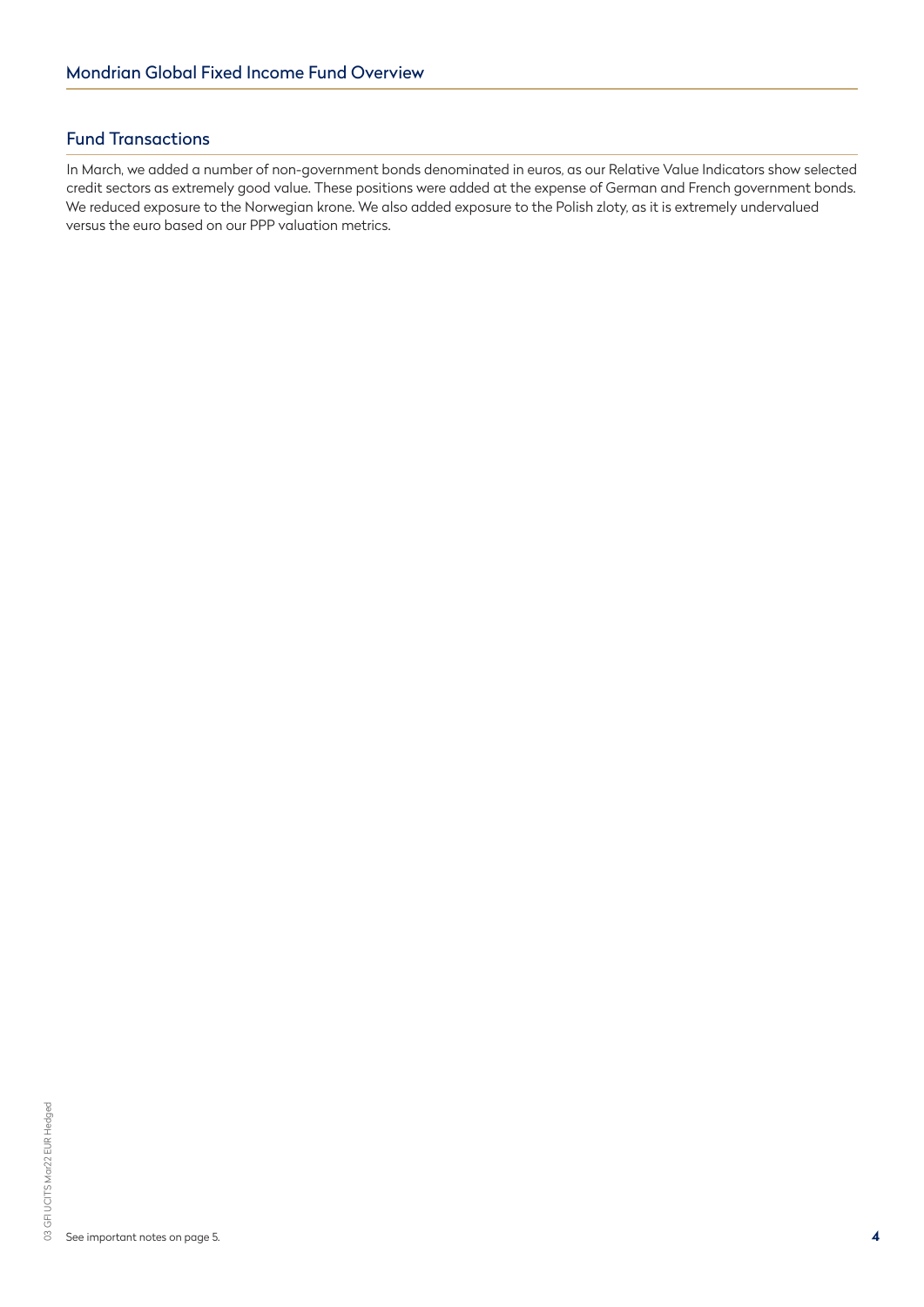### Fund Transactions

In March, we added a number of non-government bonds denominated in euros, as our Relative Value Indicators show selected credit sectors as extremely good value. These positions were added at the expense of German and French government bonds. We reduced exposure to the Norwegian krone. We also added exposure to the Polish zloty, as it is extremely undervalued versus the euro based on our PPP valuation metrics.